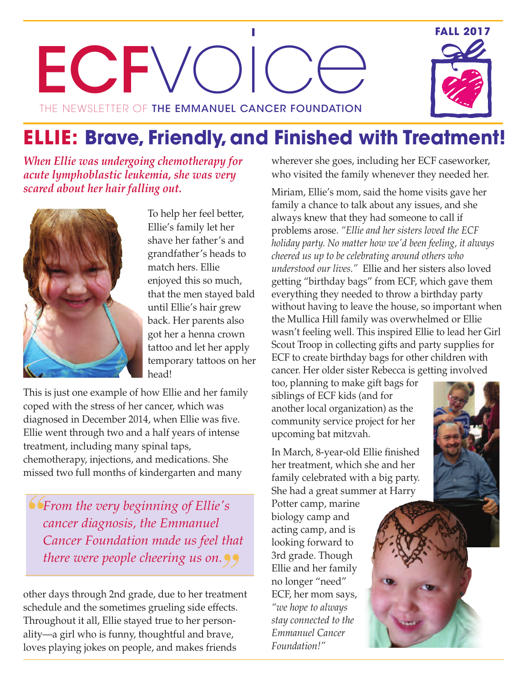ECFV The newsletter of **the emmanuel cancer foundation O**  $\begin{bmatrix} 1 \\ 1 \\ 1 \end{bmatrix}$  $\bigcirc$  $\bigodot$ 



*When Ellie was undergoing chemotherapy for acute lymphoblastic leukemia, she was very scared about her hair falling out.*



To help her feel better, Ellie's family let her shave her father's and grandfather's heads to match hers. Ellie enjoyed this so much, that the men stayed bald until Ellie's hair grew back. Her parents also got her a henna crown tattoo and let her apply temporary tattoos on her head!

This is just one example of how Ellie and her family coped with the stress of her cancer, which was diagnosed in December 2014, when Ellie was five. Ellie went through two and a half years of intense treatment, including many spinal taps, chemotherapy, injections, and medications. She missed two full months of kindergarten and many

*From the very beginning of Ellie's cancer diagnosis, the Emmanuel Cancer Foundation made us feel that there were people cheering us on.*

other days through 2nd grade, due to her treatment schedule and the sometimes grueling side effects. Throughout it all, Ellie stayed true to her personality—a girl who is funny, thoughtful and brave, loves playing jokes on people, and makes friends

wherever she goes, including her ECF caseworker, who visited the family whenever they needed her.

Miriam, Ellie's mom, said the home visits gave her family a chance to talk about any issues, and she always knew that they had someone to call if problems arose. *"Ellie and her sisters loved the ECF holiday party. No matter how we'd been feeling, it always cheered us up to be celebrating around others who understood our lives."* Ellie and her sisters also loved getting "birthday bags" from ECF, which gave them everything they needed to throw a birthday party without having to leave the house, so important when the Mullica Hill family was overwhelmed or Ellie wasn't feeling well. This inspired Ellie to lead her Girl Scout Troop in collecting gifts and party supplies for ECF to create birthday bags for other children with cancer. Her older sister Rebecca is getting involved

too, planning to make gift bags for siblings of ECF kids (and for another local organization) as the community service project for her upcoming bat mitzvah.

In March, 8-year-old Ellie finished her treatment, which she and her family celebrated with a big party. She had a great summer at Harry

Potter camp, marine biology camp and acting camp, and is looking forward to 3rd grade. Though Ellie and her family no longer "need" ECF, her mom says, *"we hope to always stay connected to the Emmanuel Cancer Foundation!"*



**FALL 2017**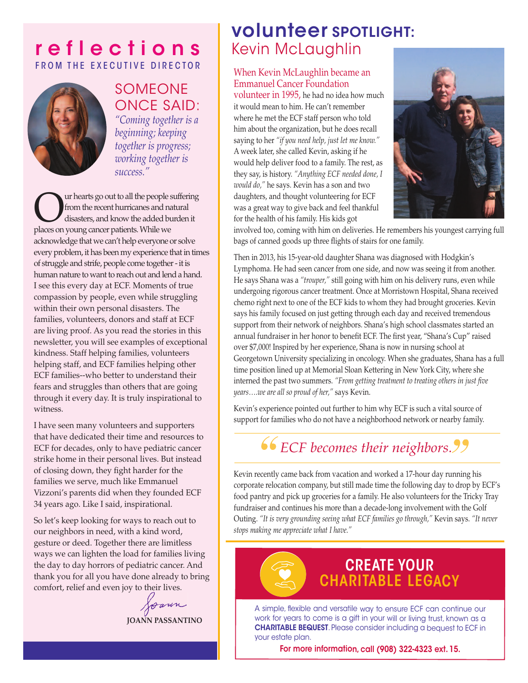## **r e f l e c t i o n s** FROM THE EXECUTIVE DIRECTOR



## SOMEONE ONCE SAID: *"Coming together is a beginning; keeping together is progress;*

*working together is*

*success."*

Our hearts go out to all the people suffering<br>from the recent hurricanes and natural<br>places on young cancer patients. While we from the recent hurricanes and natural disasters, and know the added burden it places on young cancer patients. While we acknowledge that we can't help everyone or solve every problem, it has been my experience that in times of struggle and strife, people come together - it is human nature to want to reach out and lend a hand. I see this every day at ECF. Moments of true compassion by people, even while struggling within their own personal disasters. The families, volunteers, donors and staff at ECF are living proof. As you read the stories in this newsletter, you will see examples of exceptional kindness. Staff helping families, volunteers helping staff, and ECF families helping other ECF families--who better to understand their fears and struggles than others that are going through it every day. It is truly inspirational to witness.

I have seen many volunteers and supporters that have dedicated their time and resources to ECF for decades, only to have pediatric cancer strike home in their personal lives. But instead of closing down, they fight harder for the families we serve, much like Emmanuel Vizzoni's parents did when they founded ECF 34 years ago. Like I said, inspirational.

So let's keep looking for ways to reach out to our neighbors in need, with a kind word, gesture or deed. Together there are limitless ways we can lighten the load for families living the day to day horrors of pediatric cancer. And thank you for all you have done already to bring comfort, relief and even joy to their lives.

Joann

**JOANN PASSANTINO**

## **volunteer SPOTLIGHT:** Kevin McLaughlin

### When Kevin McLaughlin became an Emmanuel Cancer Foundation

volunteer in 1995, he had no idea how much it would mean to him. He can't remember where he met the ECF staff person who told him about the organization, but he does recall saying to her *"if you need help, just let me know."* A week later, she called Kevin, asking if he would help deliver food to a family. The rest, as they say, is history. *"Anything ECF needed done, I would do,"* he says. Kevin has a son and two daughters, and thought volunteering for ECF was a great way to give back and feel thankful for the health of his family. His kids got



involved too, coming with him on deliveries. He remembers his youngest carrying full bags of canned goods up three flights of stairs for one family.

Then in 2013, his 15-year-old daughter Shana was diagnosed with Hodgkin's Lymphoma. He had seen cancer from one side, and now was seeing it from another. He says Shana was a *"trouper,"* still going with him on his delivery runs, even while undergoing rigorous cancer treatment. Once at Morristown Hospital, Shana received chemo right next to one of the ECF kids to whom they had brought groceries. Kevin says his family focused on just getting through each day and received tremendous support from their network of neighbors. Shana's high school classmates started an annual fundraiser in her honor to benefit ECF. The first year, "Shana's Cup" raised over \$7,000! Inspired by her experience, Shana is now in nursing school at Georgetown University specializing in oncology. When she graduates, Shana has a full time position lined up at Memorial Sloan Kettering in New York City, where she interned the past two summers. *"From getting treatment to treating others in just five years….we are all so proud of her,"* says Kevin.

Kevin's experience pointed out further to him why ECF is such a vital source of support for families who do not have a neighborhood network or nearby family.

# *ECF becomes their neighbors.*

Kevin recently came back from vacation and worked a 17-hour day running his corporate relocation company, but still made time the following day to drop by ECF's food pantry and pick up groceries for a family. He also volunteers for the Tricky Tray fundraiser and continues his more than a decade-long involvement with the Golf Outing. *"It is very grounding seeing what ECF families go through,"* Kevin says. *"It never stops making me appreciate what I have."*

# **CREATE YOUR CHARITABLE LEGACY**

A simple, flexible and versatile way to ensure ECF can continue our work for years to come is <sup>a</sup> gift in your will or living trust, known as <sup>a</sup> **CHARITABLE BEQUEST**. Please consider including <sup>a</sup> bequest to ECF in your estate plan.

**For more information, call (908) 322-4323 ext. 15.**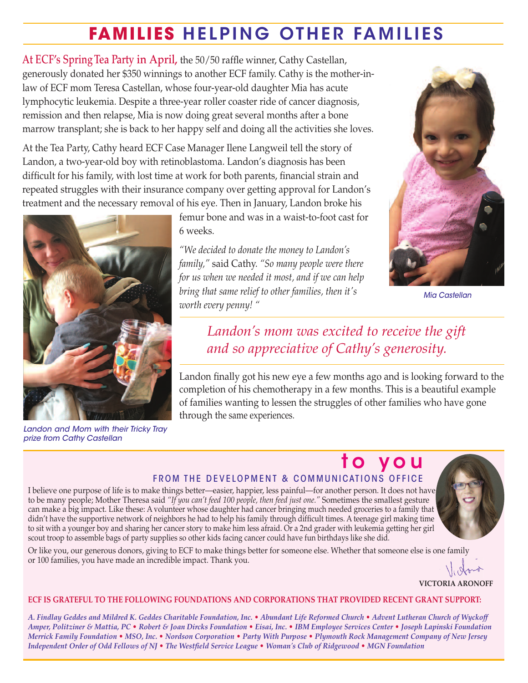# **FAMILIES H E LPIN G OT H ER FAMI L I E S**

**At ECF's SpringTea Party in April,** the 50/50 raffle winner, Cathy Castellan, generously donated her \$350 winnings to another ECF family. Cathy is the mother-inlaw of ECF mom Teresa Castellan, whose four-year-old daughter Mia has acute lymphocytic leukemia. Despite a three-year roller coaster ride of cancer diagnosis, remission and then relapse, Mia is now doing great several months after a bone marrow transplant; she is back to her happy self and doing all the activities she loves.

At the Tea Party, Cathy heard ECF Case Manager Ilene Langweil tell the story of Landon, a two-year-old boy with retinoblastoma. Landon's diagnosis has been difficult for his family, with lost time at work for both parents, financial strain and repeated struggles with their insurance company over getting approval for Landon's treatment and the necessary removal of his eye. Then in January, Landon broke his



*Landon and Mom with their Tricky Tray prize from Cathy Castellan*

femur bone and was in a waist-to-foot cast for 6 weeks.

*"We decided to donate the money to Landon's family,"* said Cathy. *"So many people were there for us when we needed it most, and if we can help bring that same relief to other families, then it's worth every penny! "*



*Mia Castellan*

## *Landon's mom was excited to receive the gift and so appreciative of Cathy's generosity.*

Landon finally got his new eye a few months ago and is looking forward to the completion of his chemotherapy in a few months. This is a beautiful example of families wanting to lessen the struggles of other families who have gone through the same experiences.

#### **t o y o u** FROM THE DEVELOPMENT & COMMUNICATIONS OFFICE I believe one purpose of life is to make things better—easier, happier, less painful—for another person. It does not have to be many people; Mother Theresa said *"If you can't feed 100 people, then feed just one."* Sometimes the smallest gesture can make a big impact. Like these: A volunteer whose daughter had cancer bringing much needed groceries to a family that didn't have the supportive network of neighbors he had to help his family through difficult times. A teenage girl making time to sit with a younger boy and sharing her cancer story to make him less afraid. Or a 2nd grader with leukemia getting her girl scout troop to assemble bags of party supplies so other kids facing cancer could have fun birthdays like she did.



**VICTORIA ARONOFF**

#### **ECF IS GRATEFUL TO THE FOLLOWING FOUNDATIONS AND CORPORATIONS THAT PROVIDED RECENT GRANT SUPPORT:**

A. Findlay Geddes and Mildred K. Geddes Charitable Foundation, Inc. • Abundant Life Reformed Church • Advent Lutheran Church of Wyckoff Amper, Politziner & Mattia, PC • Robert & Joan Dircks Foundation • Eisai, Inc. • IBM Employee Services Center • Joseph Lapinski Foundation Merrick Family Foundation • MSO, Inc. • Nordson Corporation • Party With Purpose • Plymouth Rock Management Company of New Jersey Independent Order of Odd Fellows of NJ • The Westfield Service League • Woman's Club of Ridgewood • MGN Foundation